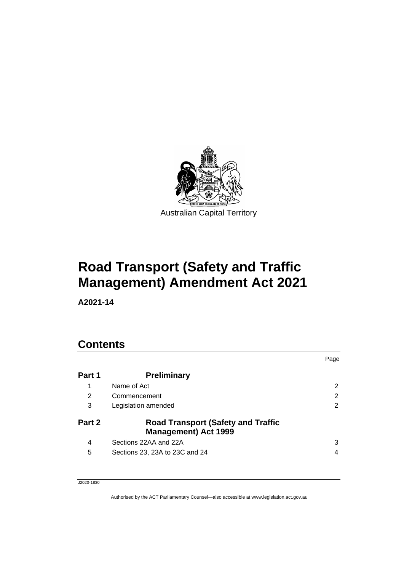

# **Road Transport (Safety and Traffic Management) Amendment Act 2021**

**A2021-14**

### **Contents**

|        |                                                                          | Page |
|--------|--------------------------------------------------------------------------|------|
| Part 1 | <b>Preliminary</b>                                                       |      |
| 1      | Name of Act                                                              | 2    |
| 2      | Commencement                                                             | 2    |
| 3      | Legislation amended                                                      | 2    |
| Part 2 | <b>Road Transport (Safety and Traffic</b><br><b>Management) Act 1999</b> |      |
| 4      | Sections 22AA and 22A                                                    | 3    |
| 5      | Sections 23, 23A to 23C and 24                                           | 4    |

J2020-1830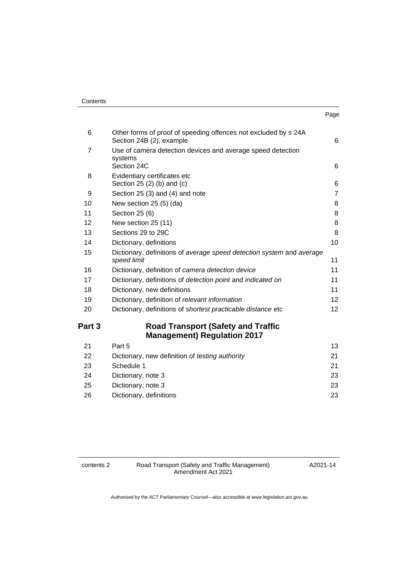| Contents |
|----------|
|----------|

| 6              | Other forms of proof of speeding offences not excluded by s 24A<br>Section 24B (2), example | 6              |
|----------------|---------------------------------------------------------------------------------------------|----------------|
| $\overline{7}$ | Use of camera detection devices and average speed detection<br>systems<br>Section 24C       | 6              |
|                |                                                                                             |                |
| 8              | Evidentiary certificates etc<br>Section $25(2)$ (b) and (c)                                 | 6              |
| 9              | Section 25 (3) and (4) and note                                                             | $\overline{7}$ |
| 10             | New section 25 (5) (da)                                                                     | 8              |
| 11             | Section 25 (6)                                                                              | 8              |
| 12             | New section 25 (11)                                                                         | 8              |
| 13             | Sections 29 to 29C                                                                          | 8              |
| 14             | Dictionary, definitions                                                                     | 10             |
| 15             | Dictionary, definitions of average speed detection system and average<br>speed limit        | 11             |
| 16             | Dictionary, definition of camera detection device                                           | 11             |
| 17             | Dictionary, definitions of detection point and indicated on                                 | 11             |
| 18             | Dictionary, new definitions                                                                 | 11             |
| 19             | Dictionary, definition of relevant information                                              | 12             |
| 20             | Dictionary, definitions of shortest practicable distance etc                                | 12             |
| Part 3         | <b>Road Transport (Safety and Traffic</b><br><b>Management) Regulation 2017</b>             |                |
| 21             | Part 5                                                                                      | 13             |
| 22             | Dictionary, new definition of testing authority                                             | 21             |
| 23             | Schedule 1                                                                                  | 21             |
| 24             | Dictionary, note 3                                                                          | 23             |
| 25             | Dictionary, note 3                                                                          | 23             |
| 26             | Dictionary, definitions                                                                     | 23             |

contents 2 Road Transport (Safety and Traffic Management) Amendment Act 2021

A2021-14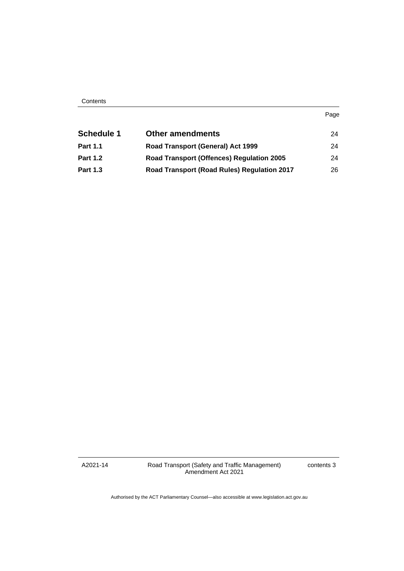| <b>Schedule 1</b> | <b>Other amendments</b>                          | 24 |
|-------------------|--------------------------------------------------|----|
| <b>Part 1.1</b>   | Road Transport (General) Act 1999                | 24 |
| <b>Part 1.2</b>   | <b>Road Transport (Offences) Regulation 2005</b> | 24 |
| <b>Part 1.3</b>   | Road Transport (Road Rules) Regulation 2017      | 26 |

A2021-14

Road Transport (Safety and Traffic Management) Amendment Act 2021

contents 3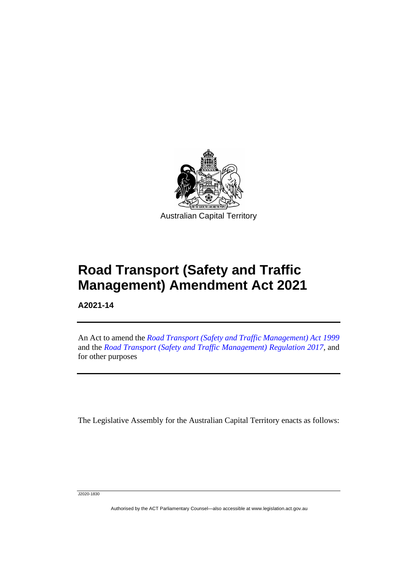

# **Road Transport (Safety and Traffic Management) Amendment Act 2021**

**A2021-14**

֡֡֡

An Act to amend the *[Road Transport \(Safety and Traffic Management\) Act](http://www.legislation.act.gov.au/a/1999-80) 1999* and the *[Road Transport \(Safety and Traffic Management\) Regulation](http://www.legislation.act.gov.au/sl/2017-45) 2017*, and for other purposes

The Legislative Assembly for the Australian Capital Territory enacts as follows:

J2020-1830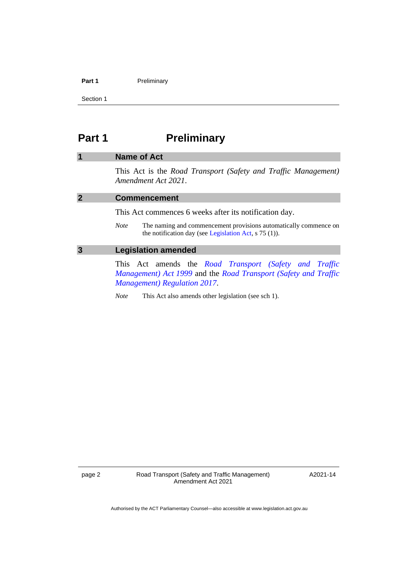#### **Part 1** Preliminary

Section 1

### <span id="page-5-0"></span>**Part 1 Preliminary**

#### <span id="page-5-1"></span>**1 Name of Act**

This Act is the *Road Transport (Safety and Traffic Management) Amendment Act 2021*.

<span id="page-5-2"></span>

| $\overline{\mathbf{2}}$ | <b>Commencement</b>                                    |                                                                                                                                  |  |  |
|-------------------------|--------------------------------------------------------|----------------------------------------------------------------------------------------------------------------------------------|--|--|
|                         | This Act commences 6 weeks after its notification day. |                                                                                                                                  |  |  |
|                         | <i>Note</i>                                            | The naming and commencement provisions automatically commence on<br>the notification day (see Legislation Act, $\sigma$ 75 (1)). |  |  |

#### <span id="page-5-3"></span>**3 Legislation amended**

This Act amends the *[Road Transport \(Safety and Traffic](http://www.legislation.act.gov.au/a/1999-80)  [Management\) Act](http://www.legislation.act.gov.au/a/1999-80) 1999* and the *[Road Transport \(Safety and Traffic](http://www.legislation.act.gov.au/sl/2017-45)  Management) [Regulation 2017](http://www.legislation.act.gov.au/sl/2017-45)*.

*Note* This Act also amends other legislation (see sch 1).

page 2 Road Transport (Safety and Traffic Management) Amendment Act 2021

A2021-14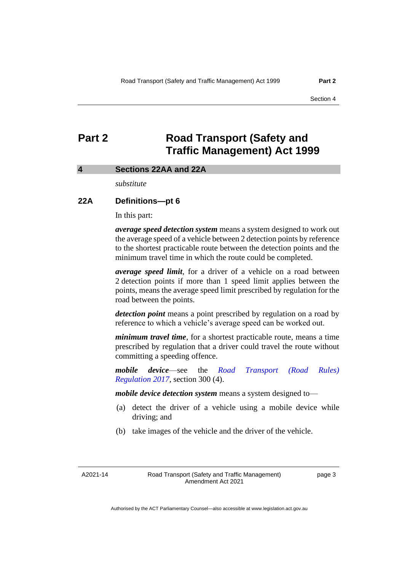### <span id="page-6-0"></span>**Part 2 Road Transport (Safety and Traffic Management) Act 1999**

#### <span id="page-6-1"></span>**4 Sections 22AA and 22A**

*substitute*

#### **22A Definitions—pt 6**

In this part:

*average speed detection system* means a system designed to work out the average speed of a vehicle between 2 detection points by reference to the shortest practicable route between the detection points and the minimum travel time in which the route could be completed.

*average speed limit*, for a driver of a vehicle on a road between 2 detection points if more than 1 speed limit applies between the points, means the average speed limit prescribed by regulation for the road between the points.

*detection point* means a point prescribed by regulation on a road by reference to which a vehicle's average speed can be worked out.

*minimum travel time*, for a shortest practicable route, means a time prescribed by regulation that a driver could travel the route without committing a speeding offence.

*mobile device*—see the *[Road Transport \(Road Rules\)](http://www.legislation.act.gov.au/sl/2017-43)  [Regulation](http://www.legislation.act.gov.au/sl/2017-43) 2017*, section 300 (4).

*mobile device detection system* means a system designed to—

- (a) detect the driver of a vehicle using a mobile device while driving; and
- (b) take images of the vehicle and the driver of the vehicle.

A2021-14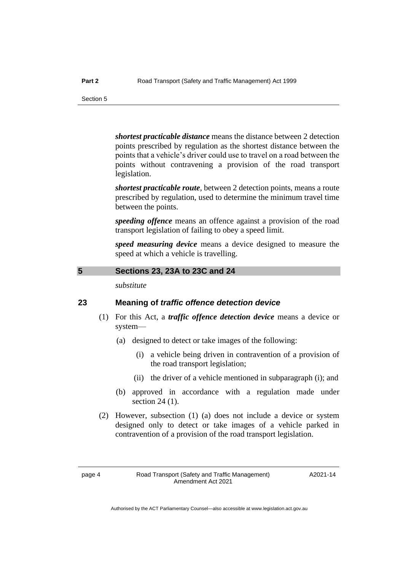*shortest practicable distance* means the distance between 2 detection points prescribed by regulation as the shortest distance between the points that a vehicle's driver could use to travel on a road between the points without contravening a provision of the road transport legislation.

*shortest practicable route*, between 2 detection points, means a route prescribed by regulation, used to determine the minimum travel time between the points.

*speeding offence* means an offence against a provision of the road transport legislation of failing to obey a speed limit.

*speed measuring device* means a device designed to measure the speed at which a vehicle is travelling.

#### <span id="page-7-0"></span>**5 Sections 23, 23A to 23C and 24**

*substitute*

#### **23 Meaning of** *traffic offence detection device*

- (1) For this Act, a *traffic offence detection device* means a device or system—
	- (a) designed to detect or take images of the following:
		- (i) a vehicle being driven in contravention of a provision of the road transport legislation;
		- (ii) the driver of a vehicle mentioned in subparagraph (i); and
	- (b) approved in accordance with a regulation made under section 24 (1).
- (2) However, subsection (1) (a) does not include a device or system designed only to detect or take images of a vehicle parked in contravention of a provision of the road transport legislation.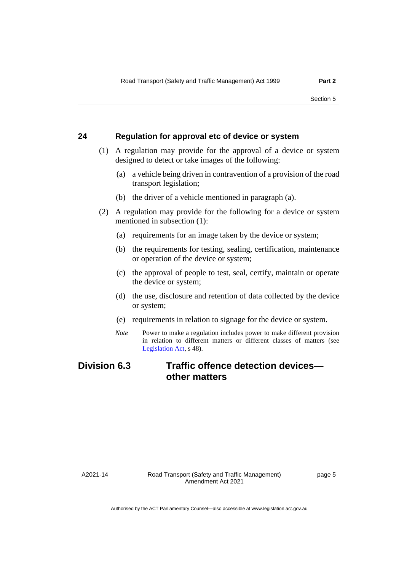#### **24 Regulation for approval etc of device or system**

- (1) A regulation may provide for the approval of a device or system designed to detect or take images of the following:
	- (a) a vehicle being driven in contravention of a provision of the road transport legislation;
	- (b) the driver of a vehicle mentioned in paragraph (a).
- (2) A regulation may provide for the following for a device or system mentioned in subsection (1):
	- (a) requirements for an image taken by the device or system;
	- (b) the requirements for testing, sealing, certification, maintenance or operation of the device or system;
	- (c) the approval of people to test, seal, certify, maintain or operate the device or system;
	- (d) the use, disclosure and retention of data collected by the device or system;
	- (e) requirements in relation to signage for the device or system.
	- *Note* Power to make a regulation includes power to make different provision in relation to different matters or different classes of matters (see [Legislation Act,](http://www.legislation.act.gov.au/a/2001-14) s 48).

### **Division 6.3 Traffic offence detection devices other matters**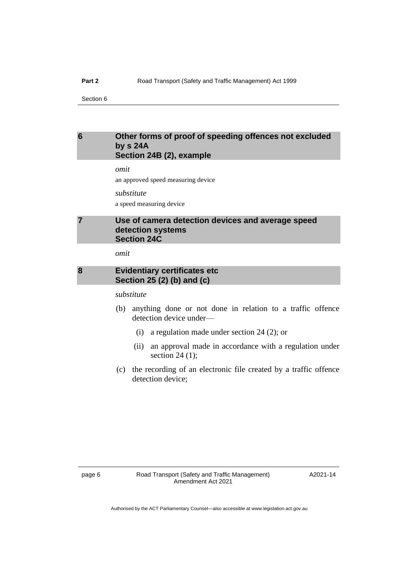#### <span id="page-9-0"></span>**6 Other forms of proof of speeding offences not excluded by s 24A Section 24B (2), example**

*omit*

an approved speed measuring device

*substitute* a speed measuring device

#### <span id="page-9-1"></span>**7 Use of camera detection devices and average speed detection systems Section 24C**

*omit*

#### <span id="page-9-2"></span>**8 Evidentiary certificates etc Section 25 (2) (b) and (c)**

*substitute*

- (b) anything done or not done in relation to a traffic offence detection device under—
	- (i) a regulation made under section 24 (2); or
	- (ii) an approval made in accordance with a regulation under section  $24$  (1);
- (c) the recording of an electronic file created by a traffic offence detection device: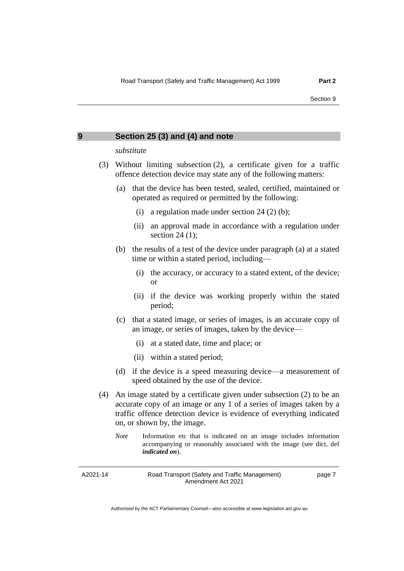<span id="page-10-0"></span>

| Section 25 (3) and (4) and note<br>9 |
|--------------------------------------|
|--------------------------------------|

#### *substitute*

- (3) Without limiting subsection (2), a certificate given for a traffic offence detection device may state any of the following matters:
	- (a) that the device has been tested, sealed, certified, maintained or operated as required or permitted by the following:
		- (i) a regulation made under section  $24$  (2) (b);
		- (ii) an approval made in accordance with a regulation under section  $24$  (1);
	- (b) the results of a test of the device under paragraph (a) at a stated time or within a stated period, including—
		- (i) the accuracy, or accuracy to a stated extent, of the device; or
		- (ii) if the device was working properly within the stated period;
	- (c) that a stated image, or series of images, is an accurate copy of an image, or series of images, taken by the device—
		- (i) at a stated date, time and place; or
		- (ii) within a stated period;
	- (d) if the device is a speed measuring device—a measurement of speed obtained by the use of the device.
- (4) An image stated by a certificate given under subsection (2) to be an accurate copy of an image or any 1 of a series of images taken by a traffic offence detection device is evidence of everything indicated on, or shown by, the image.
	- *Note* Information etc that is indicated on an image includes information accompanying or reasonably associated with the image (see dict, def *indicated on*).

A2021-14

Road Transport (Safety and Traffic Management) Amendment Act 2021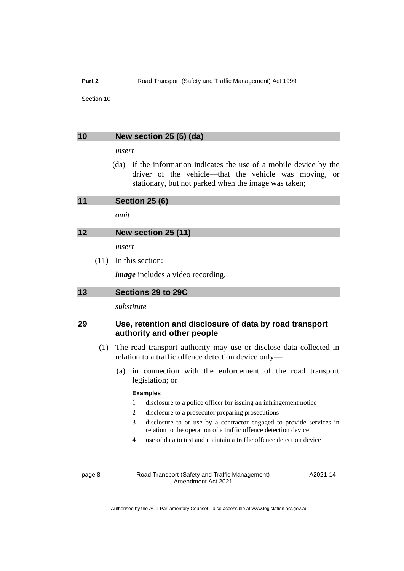#### <span id="page-11-0"></span>**10 New section 25 (5) (da)**

#### *insert*

(da) if the information indicates the use of a mobile device by the driver of the vehicle—that the vehicle was moving, or stationary, but not parked when the image was taken;

<span id="page-11-1"></span>**11 Section 25 (6)**

*omit*

#### <span id="page-11-2"></span>**12 New section 25 (11)**

*insert*

(11) In this section:

*image* includes a video recording.

<span id="page-11-3"></span>

| Sections 29 to 29C |
|--------------------|

*substitute*

#### **29 Use, retention and disclosure of data by road transport authority and other people**

- (1) The road transport authority may use or disclose data collected in relation to a traffic offence detection device only—
	- (a) in connection with the enforcement of the road transport legislation; or

#### **Examples**

- 1 disclosure to a police officer for issuing an infringement notice
- 2 disclosure to a prosecutor preparing prosecutions
- 3 disclosure to or use by a contractor engaged to provide services in relation to the operation of a traffic offence detection device
- 4 use of data to test and maintain a traffic offence detection device

page 8 Road Transport (Safety and Traffic Management) Amendment Act 2021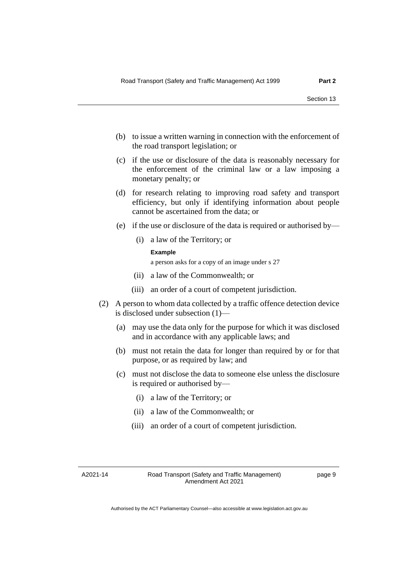- (b) to issue a written warning in connection with the enforcement of the road transport legislation; or
- (c) if the use or disclosure of the data is reasonably necessary for the enforcement of the criminal law or a law imposing a monetary penalty; or
- (d) for research relating to improving road safety and transport efficiency, but only if identifying information about people cannot be ascertained from the data; or
- (e) if the use or disclosure of the data is required or authorised by—
	- (i) a law of the Territory; or

#### **Example**

a person asks for a copy of an image under s 27

- (ii) a law of the Commonwealth; or
- (iii) an order of a court of competent jurisdiction.
- (2) A person to whom data collected by a traffic offence detection device is disclosed under subsection (1)—
	- (a) may use the data only for the purpose for which it was disclosed and in accordance with any applicable laws; and
	- (b) must not retain the data for longer than required by or for that purpose, or as required by law; and
	- (c) must not disclose the data to someone else unless the disclosure is required or authorised by—
		- (i) a law of the Territory; or
		- (ii) a law of the Commonwealth; or
		- (iii) an order of a court of competent jurisdiction.

A2021-14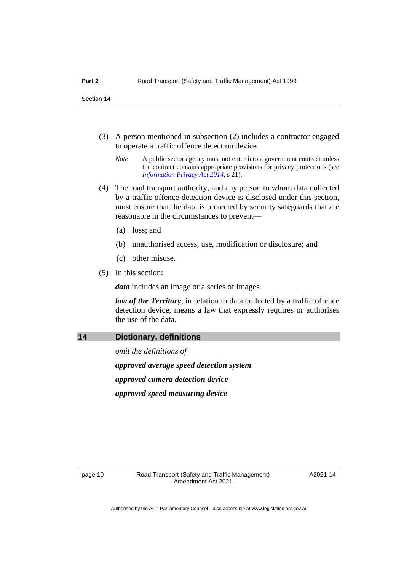- (3) A person mentioned in subsection (2) includes a contractor engaged to operate a traffic offence detection device.
	- *Note* A public sector agency must not enter into a government contract unless the contract contains appropriate provisions for privacy protections (see *[Information Privacy Act 2014](http://www.legislation.act.gov.au/a/2014-24)*, s 21).
- (4) The road transport authority, and any person to whom data collected by a traffic offence detection device is disclosed under this section, must ensure that the data is protected by security safeguards that are reasonable in the circumstances to prevent—
	- (a) loss; and
	- (b) unauthorised access, use, modification or disclosure; and
	- (c) other misuse.
- (5) In this section:

*data* includes an image or a series of images.

*law of the Territory*, in relation to data collected by a traffic offence detection device, means a law that expressly requires or authorises the use of the data.

#### <span id="page-13-0"></span>**14 Dictionary, definitions**

*omit the definitions of approved average speed detection system approved camera detection device approved speed measuring device*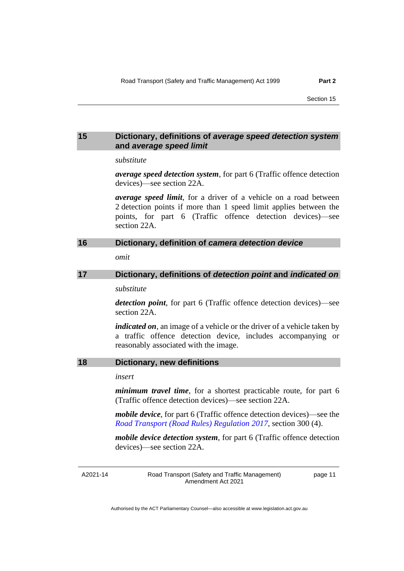#### <span id="page-14-0"></span>**15 Dictionary, definitions of** *average speed detection system* **and** *average speed limit*

#### *substitute*

*average speed detection system*, for part 6 (Traffic offence detection devices)—see section 22A.

*average speed limit*, for a driver of a vehicle on a road between 2 detection points if more than 1 speed limit applies between the points, for part 6 (Traffic offence detection devices)—see section 22A.

#### <span id="page-14-1"></span>**16 Dictionary, definition of** *camera detection device*

*omit*

### <span id="page-14-2"></span>**17 Dictionary, definitions of** *detection point* **and** *indicated on substitute*

*detection point*, for part 6 (Traffic offence detection devices)—see section 22A.

*indicated on*, an image of a vehicle or the driver of a vehicle taken by a traffic offence detection device, includes accompanying or reasonably associated with the image.

#### <span id="page-14-3"></span>**18 Dictionary, new definitions**

*insert*

*minimum travel time*, for a shortest practicable route, for part 6 (Traffic offence detection devices)—see section 22A.

*mobile device*, for part 6 (Traffic offence detection devices)—see the *[Road Transport \(Road Rules\) Regulation](http://www.legislation.act.gov.au/sl/2017-43) 2017*, section 300 (4).

*mobile device detection system*, for part 6 (Traffic offence detection devices)—see section 22A.

A2021-14

Road Transport (Safety and Traffic Management) Amendment Act 2021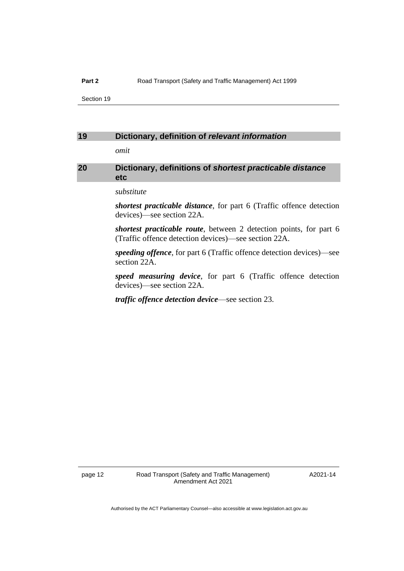#### **Part 2** Road Transport (Safety and Traffic Management) Act 1999

Section 19

#### <span id="page-15-0"></span>**19 Dictionary, definition of** *relevant information*

*omit*

#### <span id="page-15-1"></span>**20 Dictionary, definitions of** *shortest practicable distance* **etc**

*substitute*

*shortest practicable distance*, for part 6 (Traffic offence detection devices)—see section 22A.

*shortest practicable route*, between 2 detection points, for part 6 (Traffic offence detection devices)—see section 22A.

*speeding offence*, for part 6 (Traffic offence detection devices)—see section 22A.

*speed measuring device*, for part 6 (Traffic offence detection devices)—see section 22A.

*traffic offence detection device*—see section 23.

A2021-14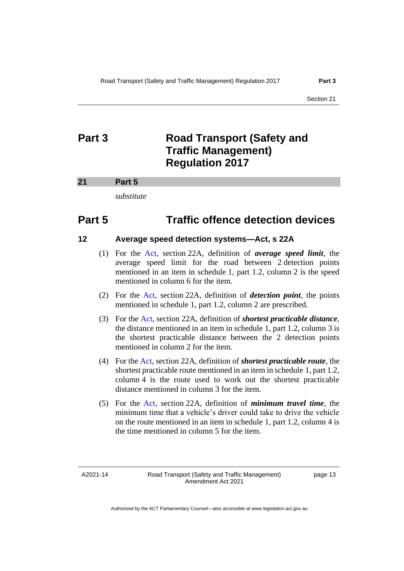### <span id="page-16-0"></span>**Part 3 Road Transport (Safety and Traffic Management) Regulation 2017**

#### <span id="page-16-1"></span>**21 Part 5**

*substitute*

### **Part 5 Traffic offence detection devices**

#### **12 Average speed detection systems—Act, s 22A**

- (1) For the [Act,](https://legislation.act.gov.au/a/1999-80/) section 22A, definition of *average speed limit*, the average speed limit for the road between 2 detection points mentioned in an item in schedule 1, part 1.2, column 2 is the speed mentioned in column 6 for the item.
- (2) For the [Act,](https://legislation.act.gov.au/a/1999-80/) section 22A, definition of *detection point*, the points mentioned in schedule 1, part 1.2, column 2 are prescribed.
- (3) For the [Act,](https://legislation.act.gov.au/a/1999-80/) section 22A, definition of *shortest practicable distance*, the distance mentioned in an item in schedule 1, part 1.2, column 3 is the shortest practicable distance between the 2 detection points mentioned in column 2 for the item.
- (4) For the [Act,](https://legislation.act.gov.au/a/1999-80/) section 22A, definition of *shortest practicable route*, the shortest practicable route mentioned in an item in schedule 1, part 1.2, column 4 is the route used to work out the shortest practicable distance mentioned in column 3 for the item.
- (5) For the [Act,](https://legislation.act.gov.au/a/1999-80/) section 22A, definition of *minimum travel time*, the minimum time that a vehicle's driver could take to drive the vehicle on the route mentioned in an item in schedule 1, part 1.2, column 4 is the time mentioned in column 5 for the item.

A2021-14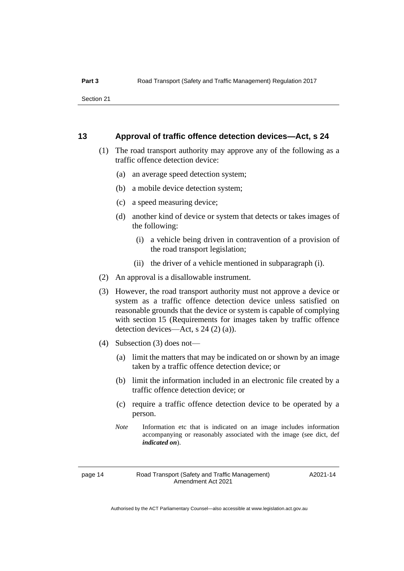#### **13 Approval of traffic offence detection devices—Act, s 24**

- (1) The road transport authority may approve any of the following as a traffic offence detection device:
	- (a) an average speed detection system;
	- (b) a mobile device detection system;
	- (c) a speed measuring device;
	- (d) another kind of device or system that detects or takes images of the following:
		- (i) a vehicle being driven in contravention of a provision of the road transport legislation;
		- (ii) the driver of a vehicle mentioned in subparagraph (i).
- (2) An approval is a disallowable instrument.
- (3) However, the road transport authority must not approve a device or system as a traffic offence detection device unless satisfied on reasonable grounds that the device or system is capable of complying with section 15 (Requirements for images taken by traffic offence detection devices—Act, s 24 (2) (a)).
- (4) Subsection (3) does not—
	- (a) limit the matters that may be indicated on or shown by an image taken by a traffic offence detection device; or
	- (b) limit the information included in an electronic file created by a traffic offence detection device; or
	- (c) require a traffic offence detection device to be operated by a person.
	- *Note* Information etc that is indicated on an image includes information accompanying or reasonably associated with the image (see dict, def *indicated on*).

#### page 14 Road Transport (Safety and Traffic Management) Amendment Act 2021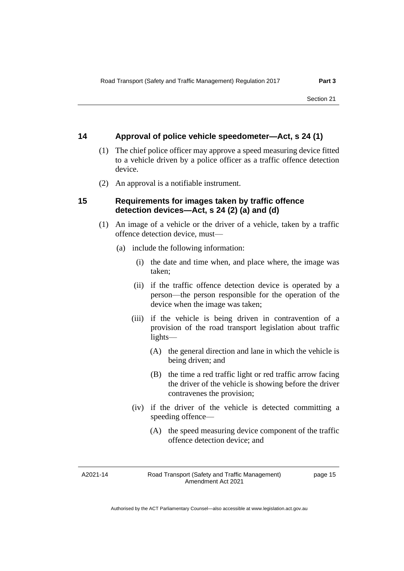#### **14 Approval of police vehicle speedometer—Act, s 24 (1)**

- (1) The chief police officer may approve a speed measuring device fitted to a vehicle driven by a police officer as a traffic offence detection device.
- (2) An approval is a notifiable instrument.

#### **15 Requirements for images taken by traffic offence detection devices—Act, s 24 (2) (a) and (d)**

- (1) An image of a vehicle or the driver of a vehicle, taken by a traffic offence detection device, must—
	- (a) include the following information:
		- (i) the date and time when, and place where, the image was taken;
		- (ii) if the traffic offence detection device is operated by a person—the person responsible for the operation of the device when the image was taken;
		- (iii) if the vehicle is being driven in contravention of a provision of the road transport legislation about traffic lights—
			- (A) the general direction and lane in which the vehicle is being driven; and
			- (B) the time a red traffic light or red traffic arrow facing the driver of the vehicle is showing before the driver contravenes the provision;
		- (iv) if the driver of the vehicle is detected committing a speeding offence—
			- (A) the speed measuring device component of the traffic offence detection device; and

A2021-14

Road Transport (Safety and Traffic Management) Amendment Act 2021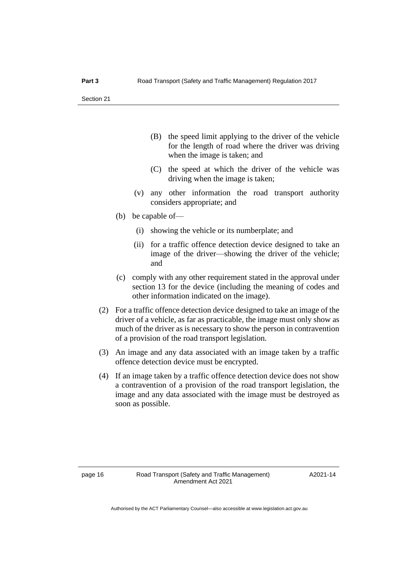- (B) the speed limit applying to the driver of the vehicle for the length of road where the driver was driving when the image is taken; and
- (C) the speed at which the driver of the vehicle was driving when the image is taken;
- (v) any other information the road transport authority considers appropriate; and
- (b) be capable of—
	- (i) showing the vehicle or its numberplate; and
	- (ii) for a traffic offence detection device designed to take an image of the driver—showing the driver of the vehicle; and
- (c) comply with any other requirement stated in the approval under section 13 for the device (including the meaning of codes and other information indicated on the image).
- (2) For a traffic offence detection device designed to take an image of the driver of a vehicle, as far as practicable, the image must only show as much of the driver as is necessary to show the person in contravention of a provision of the road transport legislation.
- (3) An image and any data associated with an image taken by a traffic offence detection device must be encrypted.
- (4) If an image taken by a traffic offence detection device does not show a contravention of a provision of the road transport legislation, the image and any data associated with the image must be destroyed as soon as possible.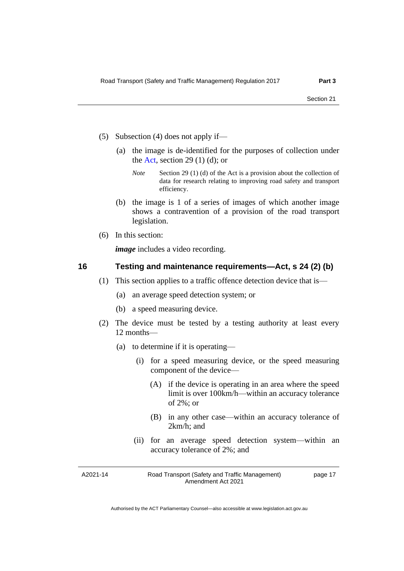- (5) Subsection (4) does not apply if—
	- (a) the image is de-identified for the purposes of collection under the [Act,](https://legislation.act.gov.au/a/1999-80/) section 29 $(1)$  $(d)$ ; or
		- *Note* Section 29 (1) (d) of the Act is a provision about the collection of data for research relating to improving road safety and transport efficiency.
	- (b) the image is 1 of a series of images of which another image shows a contravention of a provision of the road transport legislation.
- (6) In this section:

*image* includes a video recording.

#### **16 Testing and maintenance requirements—Act, s 24 (2) (b)**

- (1) This section applies to a traffic offence detection device that is—
	- (a) an average speed detection system; or
	- (b) a speed measuring device.
- (2) The device must be tested by a testing authority at least every 12 months—
	- (a) to determine if it is operating—
		- (i) for a speed measuring device, or the speed measuring component of the device—
			- (A) if the device is operating in an area where the speed limit is over 100km/h—within an accuracy tolerance of 2%; or
			- (B) in any other case—within an accuracy tolerance of 2km/h; and
		- (ii) for an average speed detection system—within an accuracy tolerance of 2%; and

A2021-14

Road Transport (Safety and Traffic Management) Amendment Act 2021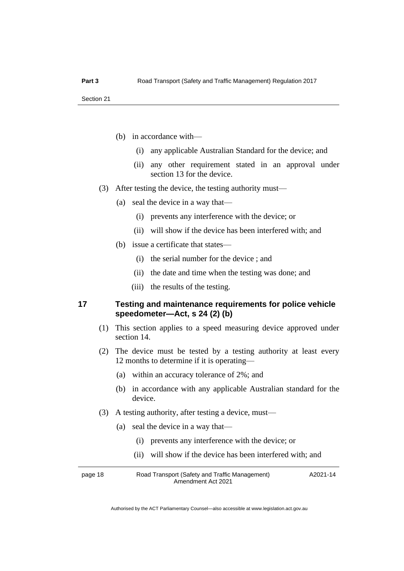- (b) in accordance with—
	- (i) any applicable Australian Standard for the device; and
	- (ii) any other requirement stated in an approval under section 13 for the device.
- (3) After testing the device, the testing authority must—
	- (a) seal the device in a way that—
		- (i) prevents any interference with the device; or
		- (ii) will show if the device has been interfered with; and
	- (b) issue a certificate that states—
		- (i) the serial number for the device ; and
		- (ii) the date and time when the testing was done; and
		- (iii) the results of the testing.

#### **17 Testing and maintenance requirements for police vehicle speedometer—Act, s 24 (2) (b)**

- (1) This section applies to a speed measuring device approved under section 14.
- (2) The device must be tested by a testing authority at least every 12 months to determine if it is operating—
	- (a) within an accuracy tolerance of 2%; and
	- (b) in accordance with any applicable Australian standard for the device.
- (3) A testing authority, after testing a device, must—
	- (a) seal the device in a way that—
		- (i) prevents any interference with the device; or
		- (ii) will show if the device has been interfered with; and

page 18 Road Transport (Safety and Traffic Management) Amendment Act 2021 A2021-14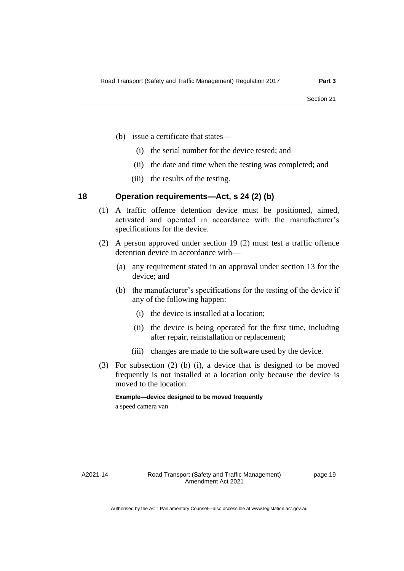- (b) issue a certificate that states—
	- (i) the serial number for the device tested; and
	- (ii) the date and time when the testing was completed; and
	- (iii) the results of the testing.

#### **18 Operation requirements—Act, s 24 (2) (b)**

- (1) A traffic offence detention device must be positioned, aimed, activated and operated in accordance with the manufacturer's specifications for the device.
- (2) A person approved under section 19 (2) must test a traffic offence detention device in accordance with—
	- (a) any requirement stated in an approval under section 13 for the device; and
	- (b) the manufacturer's specifications for the testing of the device if any of the following happen:
		- (i) the device is installed at a location;
		- (ii) the device is being operated for the first time, including after repair, reinstallation or replacement;
		- (iii) changes are made to the software used by the device.
- (3) For subsection (2) (b) (i), a device that is designed to be moved frequently is not installed at a location only because the device is moved to the location.

**Example—device designed to be moved frequently**

a speed camera van

A2021-14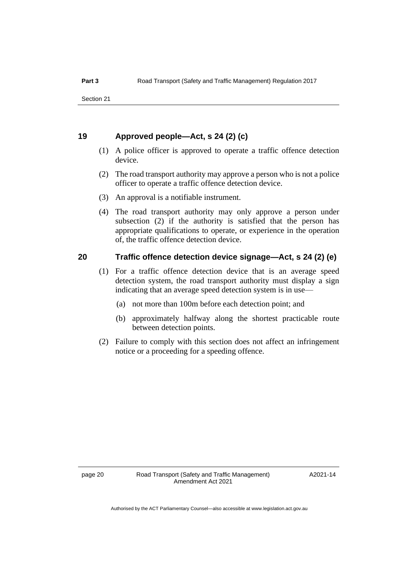#### **19 Approved people—Act, s 24 (2) (c)**

- (1) A police officer is approved to operate a traffic offence detection device.
- (2) The road transport authority may approve a person who is not a police officer to operate a traffic offence detection device.
- (3) An approval is a notifiable instrument.
- (4) The road transport authority may only approve a person under subsection (2) if the authority is satisfied that the person has appropriate qualifications to operate, or experience in the operation of, the traffic offence detection device.

#### **20 Traffic offence detection device signage—Act, s 24 (2) (e)**

- (1) For a traffic offence detection device that is an average speed detection system, the road transport authority must display a sign indicating that an average speed detection system is in use—
	- (a) not more than 100m before each detection point; and
	- (b) approximately halfway along the shortest practicable route between detection points.
- (2) Failure to comply with this section does not affect an infringement notice or a proceeding for a speeding offence.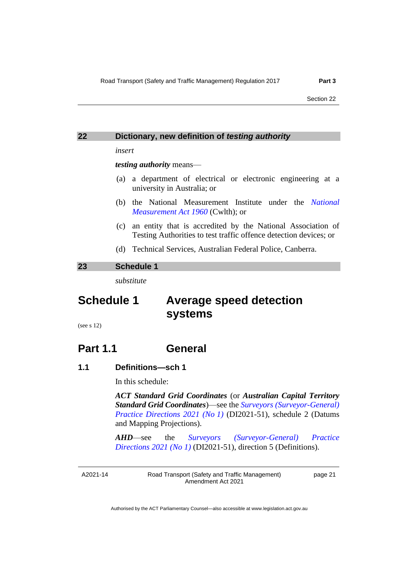<span id="page-24-0"></span>

| 22 | Dictionary, new definition of testing authority                                              |  |  |  |  |
|----|----------------------------------------------------------------------------------------------|--|--|--|--|
|    | insert                                                                                       |  |  |  |  |
|    | <i>testing authority means—</i>                                                              |  |  |  |  |
|    | (a) a department of electrical or electronic engineering at a<br>university in Australia; or |  |  |  |  |

- (b) the National Measurement Institute under the *[National](https://www.legislation.gov.au/Series/C1960A00064)  [Measurement Act 1960](https://www.legislation.gov.au/Series/C1960A00064)* (Cwlth); or
- (c) an entity that is accredited by the National Association of Testing Authorities to test traffic offence detection devices; or
- (d) Technical Services, Australian Federal Police, Canberra.

#### <span id="page-24-1"></span>**23 Schedule 1**

*substitute*

### **Schedule 1 Average speed detection systems**

(see s 12)

### **Part 1.1 General**

#### **1.1 Definitions—sch 1**

In this schedule:

*ACT Standard Grid Coordinates* (or *Australian Capital Territory Standard Grid Coordinates*)—see the *[Surveyors \(Surveyor-General\)](https://legislation.act.gov.au/di/2021-51/)  [Practice Directions 2021 \(No](https://legislation.act.gov.au/di/2021-51/) 1)* (DI2021-51), schedule 2 (Datums and Mapping Projections).

*AHD*—see the *[Surveyors \(Surveyor-General\) Practice](https://legislation.act.gov.au/di/2021-51/)  [Directions](https://legislation.act.gov.au/di/2021-51/) 2021 (No 1)* (DI2021-51), direction 5 (Definitions).

A2021-14

Road Transport (Safety and Traffic Management) Amendment Act 2021

page 21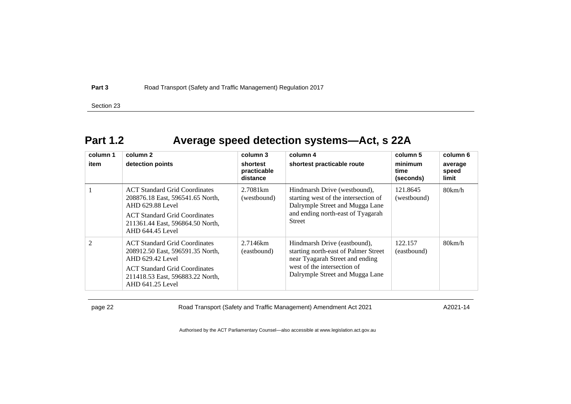**Part 3** Road Transport (Safety and Traffic Management) Regulation 2017

Section 23

### **Part 1.2 Average speed detection systems—Act, s 22A**

| column 1       | column 2                                                                                                                                                                                     | column 3                            | column 4                                                                                                                                                                  | column 5                     | column 6                  |
|----------------|----------------------------------------------------------------------------------------------------------------------------------------------------------------------------------------------|-------------------------------------|---------------------------------------------------------------------------------------------------------------------------------------------------------------------------|------------------------------|---------------------------|
| item           | detection points                                                                                                                                                                             | shortest<br>practicable<br>distance | shortest practicable route                                                                                                                                                | minimum<br>time<br>(seconds) | average<br>speed<br>limit |
|                | <b>ACT</b> Standard Grid Coordinates<br>208876.18 East, 596541.65 North,<br>AHD 629.88 Level<br><b>ACT Standard Grid Coordinates</b><br>211361.44 East, 596864.50 North,<br>AHD 644.45 Level | 2.7081 <sub>km</sub><br>(westbound) | Hindmarsh Drive (westbound),<br>starting west of the intersection of<br>Dalrymple Street and Mugga Lane<br>and ending north-east of Tyagarah<br><b>Street</b>             | 121.8645<br>(westbound)      | 80km/h                    |
| $\mathfrak{D}$ | <b>ACT</b> Standard Grid Coordinates<br>208912.50 East, 596591.35 North,<br>AHD 629.42 Level<br><b>ACT</b> Standard Grid Coordinates<br>211418.53 East, 596883.22 North,<br>AHD 641.25 Level | 2.7146km<br>(eastbound)             | Hindmarsh Drive (eastbound),<br>starting north-east of Palmer Street<br>near Tyagarah Street and ending<br>west of the intersection of<br>Dalrymple Street and Mugga Lane | 122.157<br>(eastbound)       | 80km/h                    |

page 22 Road Transport (Safety and Traffic Management) Amendment Act 2021

A2021-14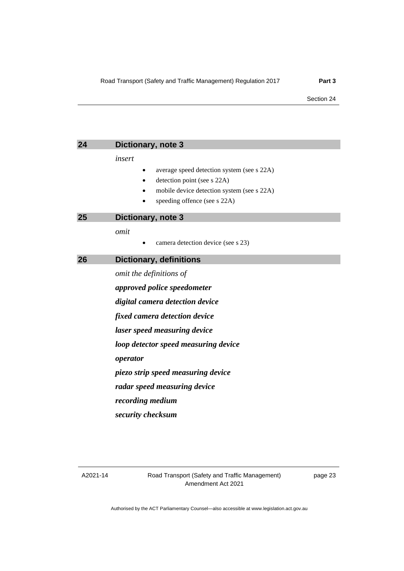<span id="page-26-2"></span><span id="page-26-1"></span><span id="page-26-0"></span>

| 24 | Dictionary, note 3                                                                                                                                                                  |  |  |
|----|-------------------------------------------------------------------------------------------------------------------------------------------------------------------------------------|--|--|
|    | insert<br>average speed detection system (see s 22A)<br>٠<br>detection point (see s 22A)<br>$\bullet$<br>mobile device detection system (see s 22A)<br>speeding offence (see s 22A) |  |  |
| 25 | Dictionary, note 3                                                                                                                                                                  |  |  |
|    | omit<br>camera detection device (see s 23)                                                                                                                                          |  |  |
| 26 | <b>Dictionary, definitions</b>                                                                                                                                                      |  |  |
|    | omit the definitions of                                                                                                                                                             |  |  |
|    | approved police speedometer                                                                                                                                                         |  |  |
|    | digital camera detection device                                                                                                                                                     |  |  |
|    | fixed camera detection device                                                                                                                                                       |  |  |
|    | laser speed measuring device                                                                                                                                                        |  |  |
|    | loop detector speed measuring device                                                                                                                                                |  |  |
|    | operator                                                                                                                                                                            |  |  |
|    | piezo strip speed measuring device                                                                                                                                                  |  |  |

*radar speed measuring device*

*recording medium*

*security checksum*

A2021-14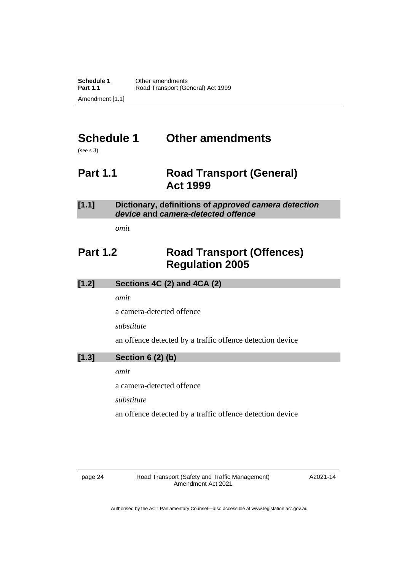## <span id="page-27-0"></span>**Schedule 1 Other amendments**

<span id="page-27-1"></span>(see s 3)

### **Part 1.1 Road Transport (General) Act 1999**

#### **[1.1] Dictionary, definitions of** *approved camera detection device* **and** *camera-detected offence*

*omit*

### <span id="page-27-2"></span>**Part 1.2 Road Transport (Offences) Regulation 2005**

|       | Sections 4C (2) and 4CA (2) |
|-------|-----------------------------|
| [1.2] |                             |
|       |                             |

*omit*

a camera-detected offence

*substitute*

an offence detected by a traffic offence detection device

#### **[1.3] Section 6 (2) (b)**

*omit*

a camera-detected offence

*substitute*

an offence detected by a traffic offence detection device

page 24 Road Transport (Safety and Traffic Management) Amendment Act 2021

A2021-14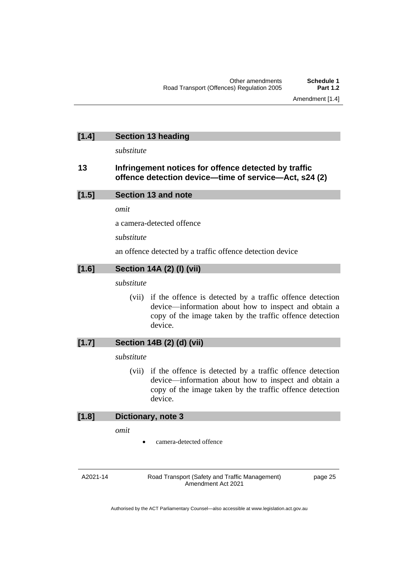#### **[1.4] Section 13 heading**

*substitute*

#### **13 Infringement notices for offence detected by traffic offence detection device—time of service—Act, s24 (2)**

| [1.5] | Section 13 and note |
|-------|---------------------|
|-------|---------------------|

*omit*

a camera-detected offence

*substitute*

an offence detected by a traffic offence detection device

#### **[1.6] Section 14A (2) (l) (vii)**

*substitute*

(vii) if the offence is detected by a traffic offence detection device—information about how to inspect and obtain a copy of the image taken by the traffic offence detection device.

#### **[1.7] Section 14B (2) (d) (vii)**

*substitute*

(vii) if the offence is detected by a traffic offence detection device—information about how to inspect and obtain a copy of the image taken by the traffic offence detection device.

#### **[1.8] Dictionary, note 3**

*omit*

camera-detected offence

A2021-14

Road Transport (Safety and Traffic Management) Amendment Act 2021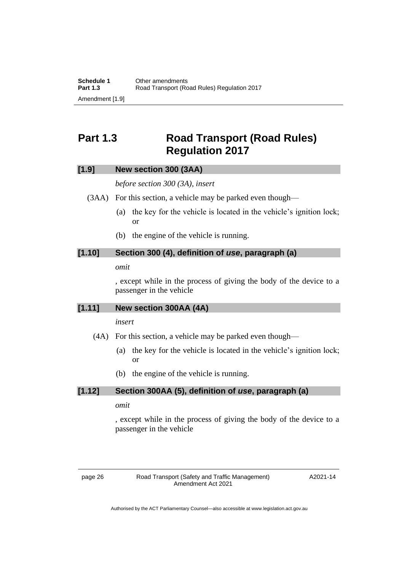### <span id="page-29-0"></span>**Part 1.3 Road Transport (Road Rules) Regulation 2017**

#### **[1.9] New section 300 (3AA)**

*before section 300 (3A), insert*

(3AA) For this section, a vehicle may be parked even though—

- (a) the key for the vehicle is located in the vehicle's ignition lock; or
- (b) the engine of the vehicle is running.

#### **[1.10] Section 300 (4), definition of** *use***, paragraph (a)**

#### *omit*

, except while in the process of giving the body of the device to a passenger in the vehicle

#### **[1.11] New section 300AA (4A)**

#### *insert*

- (4A) For this section, a vehicle may be parked even though—
	- (a) the key for the vehicle is located in the vehicle's ignition lock; or
	- (b) the engine of the vehicle is running.

#### **[1.12] Section 300AA (5), definition of** *use***, paragraph (a)**

#### *omit*

, except while in the process of giving the body of the device to a passenger in the vehicle

page 26 Road Transport (Safety and Traffic Management) Amendment Act 2021